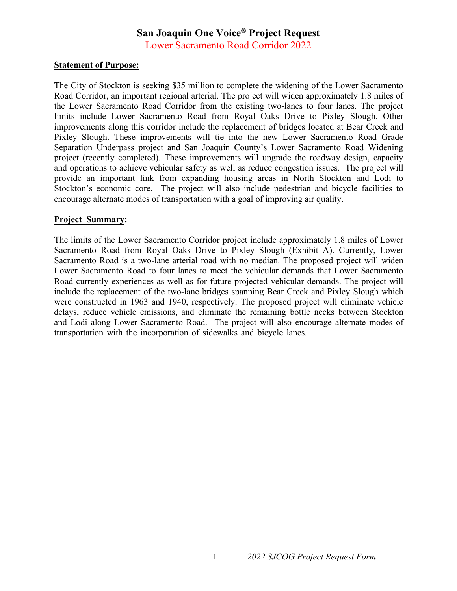## **San Joaquin One Voice® Project Request**

Lower Sacramento Road Corridor 2022

## **Statement of Purpose:**

The City of Stockton is seeking \$35 million to complete the widening of the Lower Sacramento Road Corridor, an important regional arterial. The project will widen approximately 1.8 miles of the Lower Sacramento Road Corridor from the existing two-lanes to four lanes. The project limits include Lower Sacramento Road from Royal Oaks Drive to Pixley Slough. Other improvements along this corridor include the replacement of bridges located at Bear Creek and Pixley Slough. These improvements will tie into the new Lower Sacramento Road Grade Separation Underpass project and San Joaquin County's Lower Sacramento Road Widening project (recently completed). These improvements will upgrade the roadway design, capacity and operations to achieve vehicular safety as well as reduce congestion issues. The project will provide an important link from expanding housing areas in North Stockton and Lodi to Stockton's economic core. The project will also include pedestrian and bicycle facilities to encourage alternate modes of transportation with a goal of improving air quality.

## **Project Summary:**

The limits of the Lower Sacramento Corridor project include approximately 1.8 miles of Lower Sacramento Road from Royal Oaks Drive to Pixley Slough (Exhibit A). Currently, Lower Sacramento Road is a two-lane arterial road with no median. The proposed project will widen Lower Sacramento Road to four lanes to meet the vehicular demands that Lower Sacramento Road currently experiences as well as for future projected vehicular demands. The project will include the replacement of the two-lane bridges spanning Bear Creek and Pixley Slough which were constructed in 1963 and 1940, respectively. The proposed project will eliminate vehicle delays, reduce vehicle emissions, and eliminate the remaining bottle necks between Stockton and Lodi along Lower Sacramento Road. The project will also encourage alternate modes of transportation with the incorporation of sidewalks and bicycle lanes.